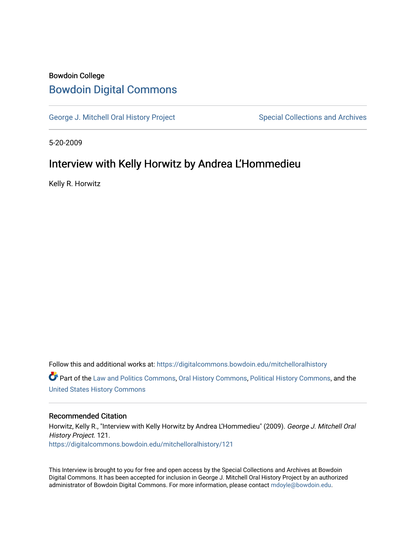# Bowdoin College [Bowdoin Digital Commons](https://digitalcommons.bowdoin.edu/)

[George J. Mitchell Oral History Project](https://digitalcommons.bowdoin.edu/mitchelloralhistory) Special Collections and Archives

5-20-2009

### Interview with Kelly Horwitz by Andrea L'Hommedieu

Kelly R. Horwitz

Follow this and additional works at: [https://digitalcommons.bowdoin.edu/mitchelloralhistory](https://digitalcommons.bowdoin.edu/mitchelloralhistory?utm_source=digitalcommons.bowdoin.edu%2Fmitchelloralhistory%2F121&utm_medium=PDF&utm_campaign=PDFCoverPages)  Part of the [Law and Politics Commons,](http://network.bepress.com/hgg/discipline/867?utm_source=digitalcommons.bowdoin.edu%2Fmitchelloralhistory%2F121&utm_medium=PDF&utm_campaign=PDFCoverPages) [Oral History Commons,](http://network.bepress.com/hgg/discipline/1195?utm_source=digitalcommons.bowdoin.edu%2Fmitchelloralhistory%2F121&utm_medium=PDF&utm_campaign=PDFCoverPages) [Political History Commons,](http://network.bepress.com/hgg/discipline/505?utm_source=digitalcommons.bowdoin.edu%2Fmitchelloralhistory%2F121&utm_medium=PDF&utm_campaign=PDFCoverPages) and the [United States History Commons](http://network.bepress.com/hgg/discipline/495?utm_source=digitalcommons.bowdoin.edu%2Fmitchelloralhistory%2F121&utm_medium=PDF&utm_campaign=PDFCoverPages)

#### Recommended Citation

Horwitz, Kelly R., "Interview with Kelly Horwitz by Andrea L'Hommedieu" (2009). George J. Mitchell Oral History Project. 121. [https://digitalcommons.bowdoin.edu/mitchelloralhistory/121](https://digitalcommons.bowdoin.edu/mitchelloralhistory/121?utm_source=digitalcommons.bowdoin.edu%2Fmitchelloralhistory%2F121&utm_medium=PDF&utm_campaign=PDFCoverPages) 

This Interview is brought to you for free and open access by the Special Collections and Archives at Bowdoin Digital Commons. It has been accepted for inclusion in George J. Mitchell Oral History Project by an authorized administrator of Bowdoin Digital Commons. For more information, please contact [mdoyle@bowdoin.edu.](mailto:mdoyle@bowdoin.edu)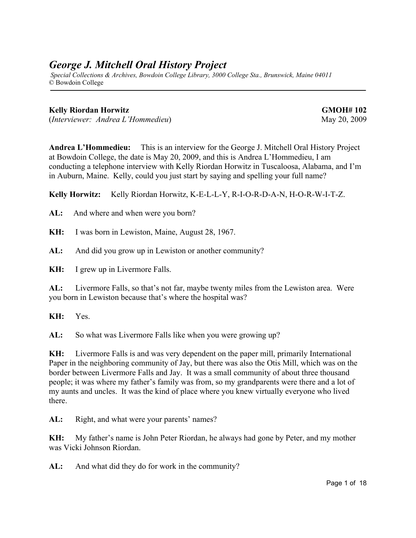# *George J. Mitchell Oral History Project*

 *Special Collections & Archives, Bowdoin College Library, 3000 College Sta., Brunswick, Maine 04011* © Bowdoin College

### **Kelly Riordan Horwitz GMOH# 102**

(*Interviewer: Andrea L'Hommedieu*) May 20, 2009

**Andrea L'Hommedieu:** This is an interview for the George J. Mitchell Oral History Project at Bowdoin College, the date is May 20, 2009, and this is Andrea L'Hommedieu, I am conducting a telephone interview with Kelly Riordan Horwitz in Tuscaloosa, Alabama, and I'm in Auburn, Maine. Kelly, could you just start by saying and spelling your full name?

**Kelly Horwitz:** Kelly Riordan Horwitz, K-E-L-L-Y, R-I-O-R-D-A-N, H-O-R-W-I-T-Z.

**AL:** And where and when were you born?

**KH:** I was born in Lewiston, Maine, August 28, 1967.

**AL:** And did you grow up in Lewiston or another community?

**KH:** I grew up in Livermore Falls.

**AL:** Livermore Falls, so that's not far, maybe twenty miles from the Lewiston area. Were you born in Lewiston because that's where the hospital was?

**KH:** Yes.

**AL:** So what was Livermore Falls like when you were growing up?

**KH:** Livermore Falls is and was very dependent on the paper mill, primarily International Paper in the neighboring community of Jay, but there was also the Otis Mill, which was on the border between Livermore Falls and Jay. It was a small community of about three thousand people; it was where my father's family was from, so my grandparents were there and a lot of my aunts and uncles. It was the kind of place where you knew virtually everyone who lived there.

AL: Right, and what were your parents' names?

**KH:** My father's name is John Peter Riordan, he always had gone by Peter, and my mother was Vicki Johnson Riordan.

**AL:** And what did they do for work in the community?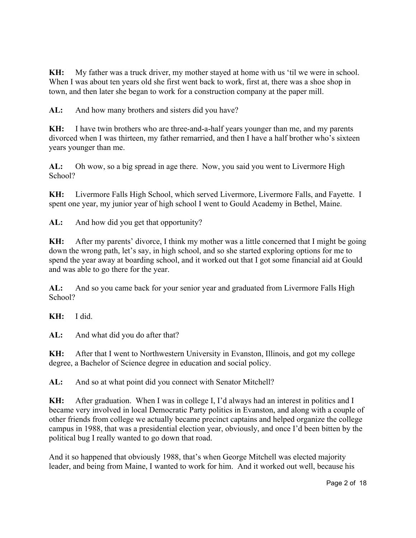**KH:** My father was a truck driver, my mother stayed at home with us 'til we were in school. When I was about ten years old she first went back to work, first at, there was a shoe shop in town, and then later she began to work for a construction company at the paper mill.

AL: And how many brothers and sisters did you have?

**KH:** I have twin brothers who are three-and-a-half years younger than me, and my parents divorced when I was thirteen, my father remarried, and then I have a half brother who's sixteen years younger than me.

**AL:** Oh wow, so a big spread in age there. Now, you said you went to Livermore High School?

**KH:** Livermore Falls High School, which served Livermore, Livermore Falls, and Fayette. I spent one year, my junior year of high school I went to Gould Academy in Bethel, Maine.

**AL:** And how did you get that opportunity?

**KH:** After my parents' divorce, I think my mother was a little concerned that I might be going down the wrong path, let's say, in high school, and so she started exploring options for me to spend the year away at boarding school, and it worked out that I got some financial aid at Gould and was able to go there for the year.

**AL:** And so you came back for your senior year and graduated from Livermore Falls High School?

**KH:** I did.

**AL:** And what did you do after that?

**KH:** After that I went to Northwestern University in Evanston, Illinois, and got my college degree, a Bachelor of Science degree in education and social policy.

**AL:** And so at what point did you connect with Senator Mitchell?

**KH:** After graduation. When I was in college I, I'd always had an interest in politics and I became very involved in local Democratic Party politics in Evanston, and along with a couple of other friends from college we actually became precinct captains and helped organize the college campus in 1988, that was a presidential election year, obviously, and once I'd been bitten by the political bug I really wanted to go down that road.

And it so happened that obviously 1988, that's when George Mitchell was elected majority leader, and being from Maine, I wanted to work for him. And it worked out well, because his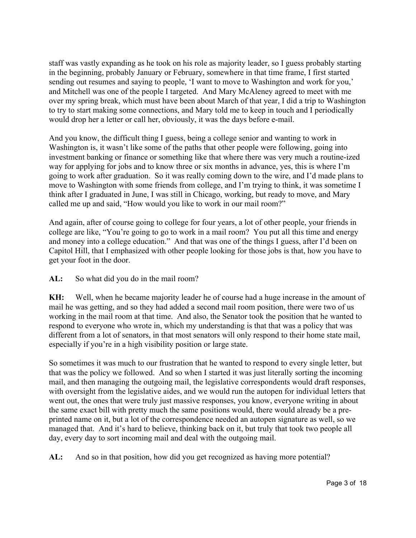staff was vastly expanding as he took on his role as majority leader, so I guess probably starting in the beginning, probably January or February, somewhere in that time frame, I first started sending out resumes and saying to people, 'I want to move to Washington and work for you,' and Mitchell was one of the people I targeted. And Mary McAleney agreed to meet with me over my spring break, which must have been about March of that year, I did a trip to Washington to try to start making some connections, and Mary told me to keep in touch and I periodically would drop her a letter or call her, obviously, it was the days before e-mail.

And you know, the difficult thing I guess, being a college senior and wanting to work in Washington is, it wasn't like some of the paths that other people were following, going into investment banking or finance or something like that where there was very much a routine-ized way for applying for jobs and to know three or six months in advance, yes, this is where I'm going to work after graduation. So it was really coming down to the wire, and I'd made plans to move to Washington with some friends from college, and I'm trying to think, it was sometime I think after I graduated in June, I was still in Chicago, working, but ready to move, and Mary called me up and said, "How would you like to work in our mail room?"

And again, after of course going to college for four years, a lot of other people, your friends in college are like, "You're going to go to work in a mail room? You put all this time and energy and money into a college education." And that was one of the things I guess, after I'd been on Capitol Hill, that I emphasized with other people looking for those jobs is that, how you have to get your foot in the door.

**AL:** So what did you do in the mail room?

**KH:** Well, when he became majority leader he of course had a huge increase in the amount of mail he was getting, and so they had added a second mail room position, there were two of us working in the mail room at that time. And also, the Senator took the position that he wanted to respond to everyone who wrote in, which my understanding is that that was a policy that was different from a lot of senators, in that most senators will only respond to their home state mail, especially if you're in a high visibility position or large state.

So sometimes it was much to our frustration that he wanted to respond to every single letter, but that was the policy we followed. And so when I started it was just literally sorting the incoming mail, and then managing the outgoing mail, the legislative correspondents would draft responses, with oversight from the legislative aides, and we would run the autopen for individual letters that went out, the ones that were truly just massive responses, you know, everyone writing in about the same exact bill with pretty much the same positions would, there would already be a preprinted name on it, but a lot of the correspondence needed an autopen signature as well, so we managed that. And it's hard to believe, thinking back on it, but truly that took two people all day, every day to sort incoming mail and deal with the outgoing mail.

**AL:** And so in that position, how did you get recognized as having more potential?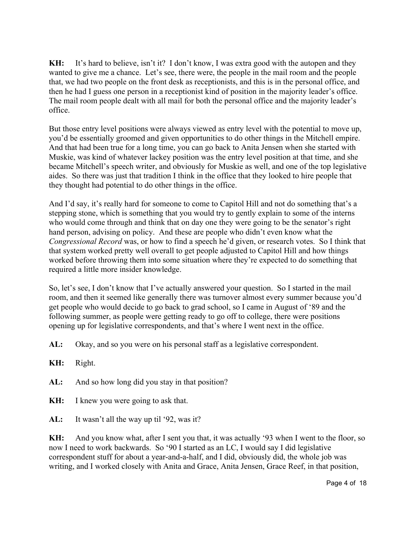**KH:** It's hard to believe, isn't it? I don't know, I was extra good with the autopen and they wanted to give me a chance. Let's see, there were, the people in the mail room and the people that, we had two people on the front desk as receptionists, and this is in the personal office, and then he had I guess one person in a receptionist kind of position in the majority leader's office. The mail room people dealt with all mail for both the personal office and the majority leader's office.

But those entry level positions were always viewed as entry level with the potential to move up, you'd be essentially groomed and given opportunities to do other things in the Mitchell empire. And that had been true for a long time, you can go back to Anita Jensen when she started with Muskie, was kind of whatever lackey position was the entry level position at that time, and she became Mitchell's speech writer, and obviously for Muskie as well, and one of the top legislative aides. So there was just that tradition I think in the office that they looked to hire people that they thought had potential to do other things in the office.

And I'd say, it's really hard for someone to come to Capitol Hill and not do something that's a stepping stone, which is something that you would try to gently explain to some of the interns who would come through and think that on day one they were going to be the senator's right hand person, advising on policy. And these are people who didn't even know what the *Congressional Record* was, or how to find a speech he'd given, or research votes. So I think that that system worked pretty well overall to get people adjusted to Capitol Hill and how things worked before throwing them into some situation where they're expected to do something that required a little more insider knowledge.

So, let's see, I don't know that I've actually answered your question. So I started in the mail room, and then it seemed like generally there was turnover almost every summer because you'd get people who would decide to go back to grad school, so I came in August of '89 and the following summer, as people were getting ready to go off to college, there were positions opening up for legislative correspondents, and that's where I went next in the office.

- **AL:** Okay, and so you were on his personal staff as a legislative correspondent.
- **KH:** Right.
- **AL:** And so how long did you stay in that position?
- **KH:** I knew you were going to ask that.
- **AL:** It wasn't all the way up til '92, was it?

**KH:** And you know what, after I sent you that, it was actually '93 when I went to the floor, so now I need to work backwards. So '90 I started as an LC, I would say I did legislative correspondent stuff for about a year-and-a-half, and I did, obviously did, the whole job was writing, and I worked closely with Anita and Grace, Anita Jensen, Grace Reef, in that position,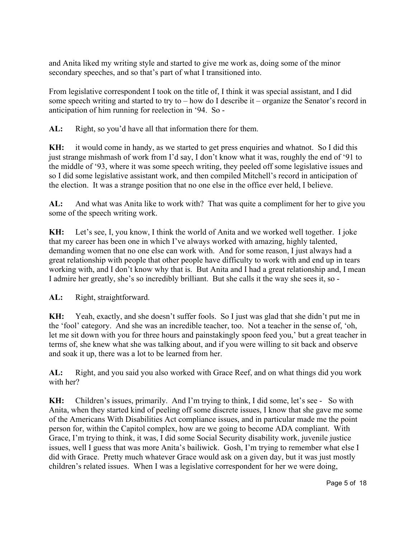and Anita liked my writing style and started to give me work as, doing some of the minor secondary speeches, and so that's part of what I transitioned into.

From legislative correspondent I took on the title of, I think it was special assistant, and I did some speech writing and started to try to – how do I describe it – organize the Senator's record in anticipation of him running for reelection in '94. So -

**AL:** Right, so you'd have all that information there for them.

**KH:** it would come in handy, as we started to get press enquiries and whatnot. So I did this just strange mishmash of work from I'd say, I don't know what it was, roughly the end of '91 to the middle of '93, where it was some speech writing, they peeled off some legislative issues and so I did some legislative assistant work, and then compiled Mitchell's record in anticipation of the election. It was a strange position that no one else in the office ever held, I believe.

**AL:** And what was Anita like to work with? That was quite a compliment for her to give you some of the speech writing work.

**KH:** Let's see, I, you know, I think the world of Anita and we worked well together. I joke that my career has been one in which I've always worked with amazing, highly talented, demanding women that no one else can work with. And for some reason, I just always had a great relationship with people that other people have difficulty to work with and end up in tears working with, and I don't know why that is. But Anita and I had a great relationship and, I mean I admire her greatly, she's so incredibly brilliant. But she calls it the way she sees it, so -

**AL:** Right, straightforward.

**KH:** Yeah, exactly, and she doesn't suffer fools. So I just was glad that she didn't put me in the 'fool' category. And she was an incredible teacher, too. Not a teacher in the sense of, 'oh, let me sit down with you for three hours and painstakingly spoon feed you,' but a great teacher in terms of, she knew what she was talking about, and if you were willing to sit back and observe and soak it up, there was a lot to be learned from her.

**AL:** Right, and you said you also worked with Grace Reef, and on what things did you work with her?

**KH:** Children's issues, primarily. And I'm trying to think, I did some, let's see - So with Anita, when they started kind of peeling off some discrete issues, I know that she gave me some of the Americans With Disabilities Act compliance issues, and in particular made me the point person for, within the Capitol complex, how are we going to become ADA compliant. With Grace, I'm trying to think, it was, I did some Social Security disability work, juvenile justice issues, well I guess that was more Anita's bailiwick. Gosh, I'm trying to remember what else I did with Grace. Pretty much whatever Grace would ask on a given day, but it was just mostly children's related issues. When I was a legislative correspondent for her we were doing,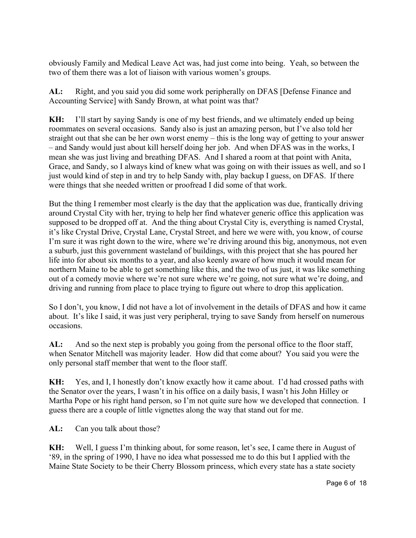obviously Family and Medical Leave Act was, had just come into being. Yeah, so between the two of them there was a lot of liaison with various women's groups.

**AL:** Right, and you said you did some work peripherally on DFAS [Defense Finance and Accounting Service] with Sandy Brown, at what point was that?

**KH:** I'll start by saying Sandy is one of my best friends, and we ultimately ended up being roommates on several occasions. Sandy also is just an amazing person, but I've also told her straight out that she can be her own worst enemy – this is the long way of getting to your answer – and Sandy would just about kill herself doing her job. And when DFAS was in the works, I mean she was just living and breathing DFAS. And I shared a room at that point with Anita, Grace, and Sandy, so I always kind of knew what was going on with their issues as well, and so I just would kind of step in and try to help Sandy with, play backup I guess, on DFAS. If there were things that she needed written or proofread I did some of that work.

But the thing I remember most clearly is the day that the application was due, frantically driving around Crystal City with her, trying to help her find whatever generic office this application was supposed to be dropped off at. And the thing about Crystal City is, everything is named Crystal, it's like Crystal Drive, Crystal Lane, Crystal Street, and here we were with, you know, of course I'm sure it was right down to the wire, where we're driving around this big, anonymous, not even a suburb, just this government wasteland of buildings, with this project that she has poured her life into for about six months to a year, and also keenly aware of how much it would mean for northern Maine to be able to get something like this, and the two of us just, it was like something out of a comedy movie where we're not sure where we're going, not sure what we're doing, and driving and running from place to place trying to figure out where to drop this application.

So I don't, you know, I did not have a lot of involvement in the details of DFAS and how it came about. It's like I said, it was just very peripheral, trying to save Sandy from herself on numerous occasions.

**AL:** And so the next step is probably you going from the personal office to the floor staff, when Senator Mitchell was majority leader. How did that come about? You said you were the only personal staff member that went to the floor staff.

**KH:** Yes, and I, I honestly don't know exactly how it came about. I'd had crossed paths with the Senator over the years, I wasn't in his office on a daily basis, I wasn't his John Hilley or Martha Pope or his right hand person, so I'm not quite sure how we developed that connection. I guess there are a couple of little vignettes along the way that stand out for me.

**AL:** Can you talk about those?

**KH:** Well, I guess I'm thinking about, for some reason, let's see, I came there in August of '89, in the spring of 1990, I have no idea what possessed me to do this but I applied with the Maine State Society to be their Cherry Blossom princess, which every state has a state society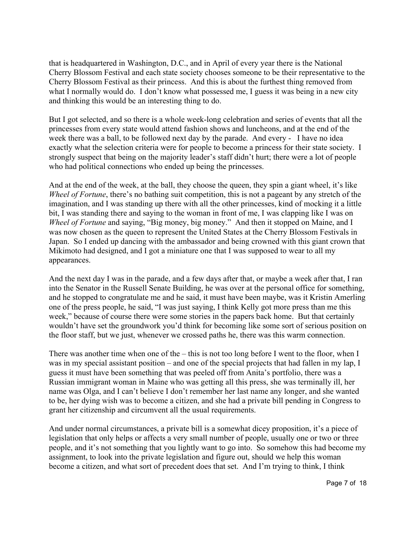that is headquartered in Washington, D.C., and in April of every year there is the National Cherry Blossom Festival and each state society chooses someone to be their representative to the Cherry Blossom Festival as their princess. And this is about the furthest thing removed from what I normally would do. I don't know what possessed me, I guess it was being in a new city and thinking this would be an interesting thing to do.

But I got selected, and so there is a whole week-long celebration and series of events that all the princesses from every state would attend fashion shows and luncheons, and at the end of the week there was a ball, to be followed next day by the parade. And every - I have no idea exactly what the selection criteria were for people to become a princess for their state society. I strongly suspect that being on the majority leader's staff didn't hurt; there were a lot of people who had political connections who ended up being the princesses.

And at the end of the week, at the ball, they choose the queen, they spin a giant wheel, it's like *Wheel of Fortune*, there's no bathing suit competition, this is not a pageant by any stretch of the imagination, and I was standing up there with all the other princesses, kind of mocking it a little bit, I was standing there and saying to the woman in front of me, I was clapping like I was on *Wheel of Fortune* and saying, "Big money, big money." And then it stopped on Maine, and I was now chosen as the queen to represent the United States at the Cherry Blossom Festivals in Japan. So I ended up dancing with the ambassador and being crowned with this giant crown that Mikimoto had designed, and I got a miniature one that I was supposed to wear to all my appearances.

And the next day I was in the parade, and a few days after that, or maybe a week after that, I ran into the Senator in the Russell Senate Building, he was over at the personal office for something, and he stopped to congratulate me and he said, it must have been maybe, was it Kristin Amerling one of the press people, he said, "I was just saying, I think Kelly got more press than me this week," because of course there were some stories in the papers back home. But that certainly wouldn't have set the groundwork you'd think for becoming like some sort of serious position on the floor staff, but we just, whenever we crossed paths he, there was this warm connection.

There was another time when one of the – this is not too long before I went to the floor, when I was in my special assistant position – and one of the special projects that had fallen in my lap, I guess it must have been something that was peeled off from Anita's portfolio, there was a Russian immigrant woman in Maine who was getting all this press, she was terminally ill, her name was Olga, and I can't believe I don't remember her last name any longer, and she wanted to be, her dying wish was to become a citizen, and she had a private bill pending in Congress to grant her citizenship and circumvent all the usual requirements.

And under normal circumstances, a private bill is a somewhat dicey proposition, it's a piece of legislation that only helps or affects a very small number of people, usually one or two or three people, and it's not something that you lightly want to go into. So somehow this had become my assignment, to look into the private legislation and figure out, should we help this woman become a citizen, and what sort of precedent does that set. And I'm trying to think, I think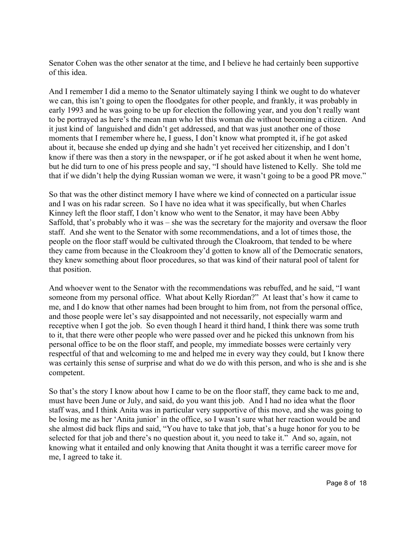Senator Cohen was the other senator at the time, and I believe he had certainly been supportive of this idea.

And I remember I did a memo to the Senator ultimately saying I think we ought to do whatever we can, this isn't going to open the floodgates for other people, and frankly, it was probably in early 1993 and he was going to be up for election the following year, and you don't really want to be portrayed as here's the mean man who let this woman die without becoming a citizen. And it just kind of languished and didn't get addressed, and that was just another one of those moments that I remember where he, I guess, I don't know what prompted it, if he got asked about it, because she ended up dying and she hadn't yet received her citizenship, and I don't know if there was then a story in the newspaper, or if he got asked about it when he went home, but he did turn to one of his press people and say, "I should have listened to Kelly. She told me that if we didn't help the dying Russian woman we were, it wasn't going to be a good PR move."

So that was the other distinct memory I have where we kind of connected on a particular issue and I was on his radar screen. So I have no idea what it was specifically, but when Charles Kinney left the floor staff, I don't know who went to the Senator, it may have been Abby Saffold, that's probably who it was – she was the secretary for the majority and oversaw the floor staff. And she went to the Senator with some recommendations, and a lot of times those, the people on the floor staff would be cultivated through the Cloakroom, that tended to be where they came from because in the Cloakroom they'd gotten to know all of the Democratic senators, they knew something about floor procedures, so that was kind of their natural pool of talent for that position.

And whoever went to the Senator with the recommendations was rebuffed, and he said, "I want someone from my personal office. What about Kelly Riordan?" At least that's how it came to me, and I do know that other names had been brought to him from, not from the personal office, and those people were let's say disappointed and not necessarily, not especially warm and receptive when I got the job. So even though I heard it third hand, I think there was some truth to it, that there were other people who were passed over and he picked this unknown from his personal office to be on the floor staff, and people, my immediate bosses were certainly very respectful of that and welcoming to me and helped me in every way they could, but I know there was certainly this sense of surprise and what do we do with this person, and who is she and is she competent.

So that's the story I know about how I came to be on the floor staff, they came back to me and, must have been June or July, and said, do you want this job. And I had no idea what the floor staff was, and I think Anita was in particular very supportive of this move, and she was going to be losing me as her 'Anita junior' in the office, so I wasn't sure what her reaction would be and she almost did back flips and said, "You have to take that job, that's a huge honor for you to be selected for that job and there's no question about it, you need to take it." And so, again, not knowing what it entailed and only knowing that Anita thought it was a terrific career move for me, I agreed to take it.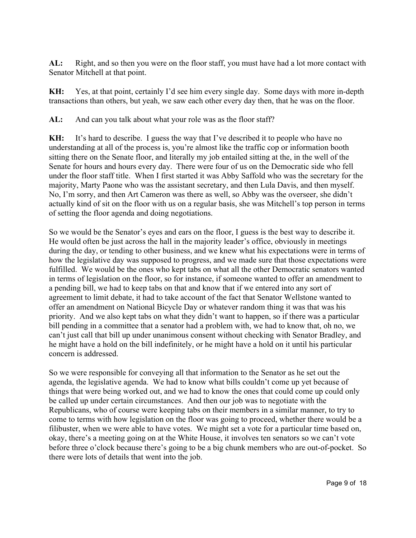**AL:** Right, and so then you were on the floor staff, you must have had a lot more contact with Senator Mitchell at that point.

**KH:** Yes, at that point, certainly I'd see him every single day. Some days with more in-depth transactions than others, but yeah, we saw each other every day then, that he was on the floor.

**AL:** And can you talk about what your role was as the floor staff?

**KH:** It's hard to describe. I guess the way that I've described it to people who have no understanding at all of the process is, you're almost like the traffic cop or information booth sitting there on the Senate floor, and literally my job entailed sitting at the, in the well of the Senate for hours and hours every day. There were four of us on the Democratic side who fell under the floor staff title. When I first started it was Abby Saffold who was the secretary for the majority, Marty Paone who was the assistant secretary, and then Lula Davis, and then myself. No, I'm sorry, and then Art Cameron was there as well, so Abby was the overseer, she didn't actually kind of sit on the floor with us on a regular basis, she was Mitchell's top person in terms of setting the floor agenda and doing negotiations.

So we would be the Senator's eyes and ears on the floor, I guess is the best way to describe it. He would often be just across the hall in the majority leader's office, obviously in meetings during the day, or tending to other business, and we knew what his expectations were in terms of how the legislative day was supposed to progress, and we made sure that those expectations were fulfilled. We would be the ones who kept tabs on what all the other Democratic senators wanted in terms of legislation on the floor, so for instance, if someone wanted to offer an amendment to a pending bill, we had to keep tabs on that and know that if we entered into any sort of agreement to limit debate, it had to take account of the fact that Senator Wellstone wanted to offer an amendment on National Bicycle Day or whatever random thing it was that was his priority. And we also kept tabs on what they didn't want to happen, so if there was a particular bill pending in a committee that a senator had a problem with, we had to know that, oh no, we can't just call that bill up under unanimous consent without checking with Senator Bradley, and he might have a hold on the bill indefinitely, or he might have a hold on it until his particular concern is addressed.

So we were responsible for conveying all that information to the Senator as he set out the agenda, the legislative agenda. We had to know what bills couldn't come up yet because of things that were being worked out, and we had to know the ones that could come up could only be called up under certain circumstances. And then our job was to negotiate with the Republicans, who of course were keeping tabs on their members in a similar manner, to try to come to terms with how legislation on the floor was going to proceed, whether there would be a filibuster, when we were able to have votes. We might set a vote for a particular time based on, okay, there's a meeting going on at the White House, it involves ten senators so we can't vote before three o'clock because there's going to be a big chunk members who are out-of-pocket. So there were lots of details that went into the job.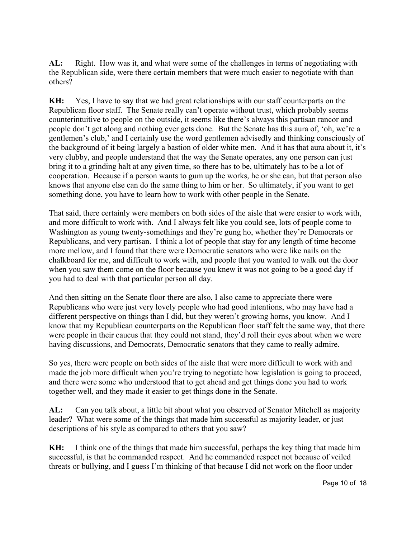**AL:** Right. How was it, and what were some of the challenges in terms of negotiating with the Republican side, were there certain members that were much easier to negotiate with than others?

**KH:** Yes, I have to say that we had great relationships with our staff counterparts on the Republican floor staff. The Senate really can't operate without trust, which probably seems counterintuitive to people on the outside, it seems like there's always this partisan rancor and people don't get along and nothing ever gets done. But the Senate has this aura of, 'oh, we're a gentlemen's club,' and I certainly use the word gentlemen advisedly and thinking consciously of the background of it being largely a bastion of older white men. And it has that aura about it, it's very clubby, and people understand that the way the Senate operates, any one person can just bring it to a grinding halt at any given time, so there has to be, ultimately has to be a lot of cooperation. Because if a person wants to gum up the works, he or she can, but that person also knows that anyone else can do the same thing to him or her. So ultimately, if you want to get something done, you have to learn how to work with other people in the Senate.

That said, there certainly were members on both sides of the aisle that were easier to work with, and more difficult to work with. And I always felt like you could see, lots of people come to Washington as young twenty-somethings and they're gung ho, whether they're Democrats or Republicans, and very partisan. I think a lot of people that stay for any length of time become more mellow, and I found that there were Democratic senators who were like nails on the chalkboard for me, and difficult to work with, and people that you wanted to walk out the door when you saw them come on the floor because you knew it was not going to be a good day if you had to deal with that particular person all day.

And then sitting on the Senate floor there are also, I also came to appreciate there were Republicans who were just very lovely people who had good intentions, who may have had a different perspective on things than I did, but they weren't growing horns, you know. And I know that my Republican counterparts on the Republican floor staff felt the same way, that there were people in their caucus that they could not stand, they'd roll their eyes about when we were having discussions, and Democrats, Democratic senators that they came to really admire.

So yes, there were people on both sides of the aisle that were more difficult to work with and made the job more difficult when you're trying to negotiate how legislation is going to proceed, and there were some who understood that to get ahead and get things done you had to work together well, and they made it easier to get things done in the Senate.

**AL:** Can you talk about, a little bit about what you observed of Senator Mitchell as majority leader? What were some of the things that made him successful as majority leader, or just descriptions of his style as compared to others that you saw?

**KH:** I think one of the things that made him successful, perhaps the key thing that made him successful, is that he commanded respect. And he commanded respect not because of veiled threats or bullying, and I guess I'm thinking of that because I did not work on the floor under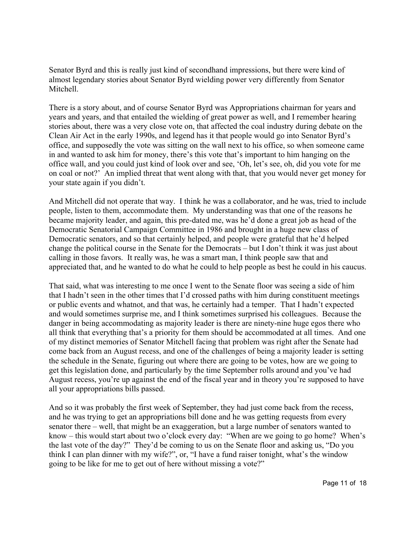Senator Byrd and this is really just kind of secondhand impressions, but there were kind of almost legendary stories about Senator Byrd wielding power very differently from Senator Mitchell.

There is a story about, and of course Senator Byrd was Appropriations chairman for years and years and years, and that entailed the wielding of great power as well, and I remember hearing stories about, there was a very close vote on, that affected the coal industry during debate on the Clean Air Act in the early 1990s, and legend has it that people would go into Senator Byrd's office, and supposedly the vote was sitting on the wall next to his office, so when someone came in and wanted to ask him for money, there's this vote that's important to him hanging on the office wall, and you could just kind of look over and see, 'Oh, let's see, oh, did you vote for me on coal or not?' An implied threat that went along with that, that you would never get money for your state again if you didn't.

And Mitchell did not operate that way. I think he was a collaborator, and he was, tried to include people, listen to them, accommodate them. My understanding was that one of the reasons he became majority leader, and again, this pre-dated me, was he'd done a great job as head of the Democratic Senatorial Campaign Committee in 1986 and brought in a huge new class of Democratic senators, and so that certainly helped, and people were grateful that he'd helped change the political course in the Senate for the Democrats – but I don't think it was just about calling in those favors. It really was, he was a smart man, I think people saw that and appreciated that, and he wanted to do what he could to help people as best he could in his caucus.

That said, what was interesting to me once I went to the Senate floor was seeing a side of him that I hadn't seen in the other times that I'd crossed paths with him during constituent meetings or public events and whatnot, and that was, he certainly had a temper. That I hadn't expected and would sometimes surprise me, and I think sometimes surprised his colleagues. Because the danger in being accommodating as majority leader is there are ninety-nine huge egos there who all think that everything that's a priority for them should be accommodated at all times. And one of my distinct memories of Senator Mitchell facing that problem was right after the Senate had come back from an August recess, and one of the challenges of being a majority leader is setting the schedule in the Senate, figuring out where there are going to be votes, how are we going to get this legislation done, and particularly by the time September rolls around and you've had August recess, you're up against the end of the fiscal year and in theory you're supposed to have all your appropriations bills passed.

And so it was probably the first week of September, they had just come back from the recess, and he was trying to get an appropriations bill done and he was getting requests from every senator there – well, that might be an exaggeration, but a large number of senators wanted to know – this would start about two o'clock every day: "When are we going to go home? When's the last vote of the day?" They'd be coming to us on the Senate floor and asking us, "Do you think I can plan dinner with my wife?", or, "I have a fund raiser tonight, what's the window going to be like for me to get out of here without missing a vote?"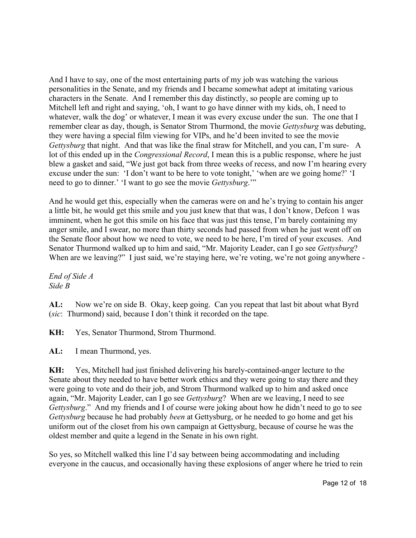And I have to say, one of the most entertaining parts of my job was watching the various personalities in the Senate, and my friends and I became somewhat adept at imitating various characters in the Senate. And I remember this day distinctly, so people are coming up to Mitchell left and right and saying, 'oh, I want to go have dinner with my kids, oh, I need to whatever, walk the dog' or whatever, I mean it was every excuse under the sun. The one that I remember clear as day, though, is Senator Strom Thurmond, the movie *Gettysburg* was debuting, they were having a special film viewing for VIPs, and he'd been invited to see the movie *Gettysburg* that night. And that was like the final straw for Mitchell, and you can, I'm sure- A lot of this ended up in the *Congressional Record*, I mean this is a public response, where he just blew a gasket and said, "We just got back from three weeks of recess, and now I'm hearing every excuse under the sun: 'I don't want to be here to vote tonight,' 'when are we going home?' 'I need to go to dinner.' 'I want to go see the movie *Gettysburg*.'"

And he would get this, especially when the cameras were on and he's trying to contain his anger a little bit, he would get this smile and you just knew that that was, I don't know, Defcon 1 was imminent, when he got this smile on his face that was just this tense, I'm barely containing my anger smile, and I swear, no more than thirty seconds had passed from when he just went off on the Senate floor about how we need to vote, we need to be here, I'm tired of your excuses. And Senator Thurmond walked up to him and said, "Mr. Majority Leader, can I go see *Gettysburg*? When are we leaving?" I just said, we're staying here, we're voting, we're not going anywhere -

*End of Side A Side B*

**AL:** Now we're on side B. Okay, keep going. Can you repeat that last bit about what Byrd (*sic*: Thurmond) said, because I don't think it recorded on the tape.

**KH:** Yes, Senator Thurmond, Strom Thurmond.

**AL:** I mean Thurmond, yes.

**KH:** Yes, Mitchell had just finished delivering his barely-contained-anger lecture to the Senate about they needed to have better work ethics and they were going to stay there and they were going to vote and do their job, and Strom Thurmond walked up to him and asked once again, "Mr. Majority Leader, can I go see *Gettysburg*? When are we leaving, I need to see *Gettysburg*." And my friends and I of course were joking about how he didn't need to go to see *Gettysburg* because he had probably *been* at Gettysburg, or he needed to go home and get his uniform out of the closet from his own campaign at Gettysburg, because of course he was the oldest member and quite a legend in the Senate in his own right.

So yes, so Mitchell walked this line I'd say between being accommodating and including everyone in the caucus, and occasionally having these explosions of anger where he tried to rein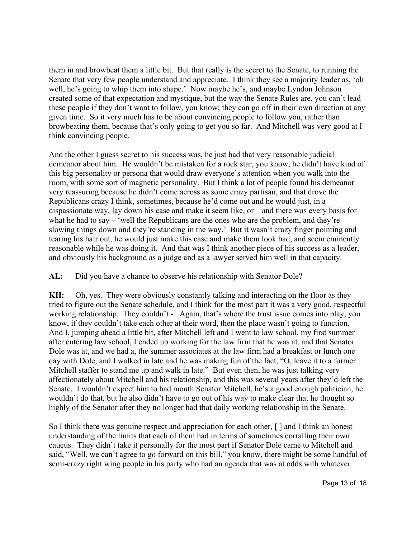them in and browbeat them a little bit. But that really is the secret to the Senate, to running the Senate that very few people understand and appreciate. I think they see a majority leader as, 'oh well, he's going to whip them into shape.' Now maybe he's, and maybe Lyndon Johnson created some of that expectation and mystique, but the way the Senate Rules are, you can't lead these people if they don't want to follow, you know; they can go off in their own direction at any given time. So it very much has to be about convincing people to follow you, rather than browbeating them, because that's only going to get you so far. And Mitchell was very good at I think convincing people.

And the other I guess secret to his success was, he just had that very reasonable judicial demeanor about him. He wouldn't be mistaken for a rock star, you know, he didn't have kind of this big personality or persona that would draw everyone's attention when you walk into the room, with some sort of magnetic personality. But I think a lot of people found his demeanor very reassuring because he didn't come across as some crazy partisan, and that drove the Republicans crazy I think, sometimes, because he'd come out and he would just, in a dispassionate way, lay down his case and make it seem like, or – and there was every basis for what he had to say – 'well the Republicans are the ones who are the problem, and they're slowing things down and they're standing in the way.' But it wasn't crazy finger pointing and tearing his hair out, he would just make this case and make them look bad, and seem eminently reasonable while he was doing it. And that was I think another piece of his success as a leader, and obviously his background as a judge and as a lawyer served him well in that capacity.

AL: Did you have a chance to observe his relationship with Senator Dole?

**KH:** Oh, yes. They were obviously constantly talking and interacting on the floor as they tried to figure out the Senate schedule, and I think for the most part it was a very good, respectful working relationship. They couldn't - Again, that's where the trust issue comes into play, you know, if they couldn't take each other at their word, then the place wasn't going to function. And I, jumping ahead a little bit, after Mitchell left and I went to law school, my first summer after entering law school, I ended up working for the law firm that he was at, and that Senator Dole was at, and we had a, the summer associates at the law firm had a breakfast or lunch one day with Dole, and I walked in late and he was making fun of the fact, "O, leave it to a former Mitchell staffer to stand me up and walk in late." But even then, he was just talking very affectionately about Mitchell and his relationship, and this was several years after they'd left the Senate. I wouldn't expect him to bad mouth Senator Mitchell, he's a good enough politician, he wouldn't do that, but he also didn't have to go out of his way to make clear that he thought so highly of the Senator after they no longer had that daily working relationship in the Senate.

So I think there was genuine respect and appreciation for each other, [ ] and I think an honest understanding of the limits that each of them had in terms of sometimes corralling their own caucus. They didn't take it personally for the most part if Senator Dole came to Mitchell and said, "Well, we can't agree to go forward on this bill," you know, there might be some handful of semi-crazy right wing people in his party who had an agenda that was at odds with whatever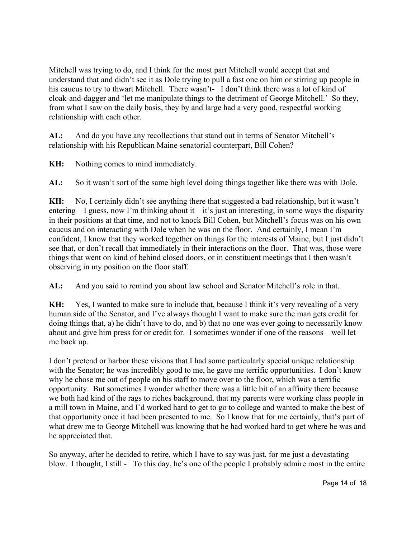Mitchell was trying to do, and I think for the most part Mitchell would accept that and understand that and didn't see it as Dole trying to pull a fast one on him or stirring up people in his caucus to try to thwart Mitchell. There wasn't- I don't think there was a lot of kind of cloak-and-dagger and 'let me manipulate things to the detriment of George Mitchell.' So they, from what I saw on the daily basis, they by and large had a very good, respectful working relationship with each other.

**AL:** And do you have any recollections that stand out in terms of Senator Mitchell's relationship with his Republican Maine senatorial counterpart, Bill Cohen?

**KH:** Nothing comes to mind immediately.

**AL:** So it wasn't sort of the same high level doing things together like there was with Dole.

**KH:** No, I certainly didn't see anything there that suggested a bad relationship, but it wasn't entering  $-$  I guess, now I'm thinking about it  $-$  it's just an interesting, in some ways the disparity in their positions at that time, and not to knock Bill Cohen, but Mitchell's focus was on his own caucus and on interacting with Dole when he was on the floor. And certainly, I mean I'm confident, I know that they worked together on things for the interests of Maine, but I just didn't see that, or don't recall that immediately in their interactions on the floor. That was, those were things that went on kind of behind closed doors, or in constituent meetings that I then wasn't observing in my position on the floor staff.

**AL:** And you said to remind you about law school and Senator Mitchell's role in that.

**KH:** Yes, I wanted to make sure to include that, because I think it's very revealing of a very human side of the Senator, and I've always thought I want to make sure the man gets credit for doing things that, a) he didn't have to do, and b) that no one was ever going to necessarily know about and give him press for or credit for. I sometimes wonder if one of the reasons – well let me back up.

I don't pretend or harbor these visions that I had some particularly special unique relationship with the Senator; he was incredibly good to me, he gave me terrific opportunities. I don't know why he chose me out of people on his staff to move over to the floor, which was a terrific opportunity. But sometimes I wonder whether there was a little bit of an affinity there because we both had kind of the rags to riches background, that my parents were working class people in a mill town in Maine, and I'd worked hard to get to go to college and wanted to make the best of that opportunity once it had been presented to me. So I know that for me certainly, that's part of what drew me to George Mitchell was knowing that he had worked hard to get where he was and he appreciated that.

So anyway, after he decided to retire, which I have to say was just, for me just a devastating blow. I thought, I still - To this day, he's one of the people I probably admire most in the entire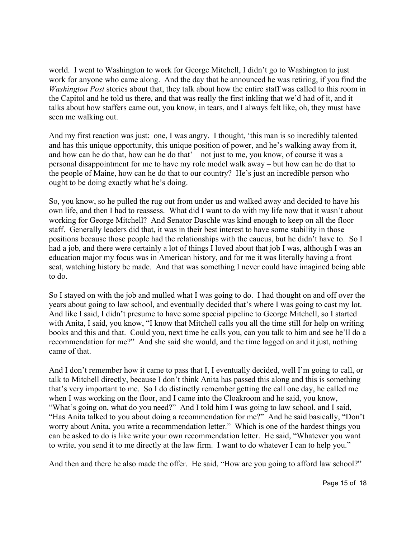world. I went to Washington to work for George Mitchell, I didn't go to Washington to just work for anyone who came along. And the day that he announced he was retiring, if you find the *Washington Post* stories about that, they talk about how the entire staff was called to this room in the Capitol and he told us there, and that was really the first inkling that we'd had of it, and it talks about how staffers came out, you know, in tears, and I always felt like, oh, they must have seen me walking out.

And my first reaction was just: one, I was angry. I thought, 'this man is so incredibly talented and has this unique opportunity, this unique position of power, and he's walking away from it, and how can he do that, how can he do that' – not just to me, you know, of course it was a personal disappointment for me to have my role model walk away – but how can he do that to the people of Maine, how can he do that to our country? He's just an incredible person who ought to be doing exactly what he's doing.

So, you know, so he pulled the rug out from under us and walked away and decided to have his own life, and then I had to reassess. What did I want to do with my life now that it wasn't about working for George Mitchell? And Senator Daschle was kind enough to keep on all the floor staff. Generally leaders did that, it was in their best interest to have some stability in those positions because those people had the relationships with the caucus, but he didn't have to. So I had a job, and there were certainly a lot of things I loved about that job I was, although I was an education major my focus was in American history, and for me it was literally having a front seat, watching history be made. And that was something I never could have imagined being able to do.

So I stayed on with the job and mulled what I was going to do. I had thought on and off over the years about going to law school, and eventually decided that's where I was going to cast my lot. And like I said, I didn't presume to have some special pipeline to George Mitchell, so I started with Anita, I said, you know, "I know that Mitchell calls you all the time still for help on writing books and this and that. Could you, next time he calls you, can you talk to him and see he'll do a recommendation for me?" And she said she would, and the time lagged on and it just, nothing came of that.

And I don't remember how it came to pass that I, I eventually decided, well I'm going to call, or talk to Mitchell directly, because I don't think Anita has passed this along and this is something that's very important to me. So I do distinctly remember getting the call one day, he called me when I was working on the floor, and I came into the Cloakroom and he said, you know, "What's going on, what do you need?" And I told him I was going to law school, and I said, "Has Anita talked to you about doing a recommendation for me?" And he said basically, "Don't worry about Anita, you write a recommendation letter." Which is one of the hardest things you can be asked to do is like write your own recommendation letter. He said, "Whatever you want to write, you send it to me directly at the law firm. I want to do whatever I can to help you."

And then and there he also made the offer. He said, "How are you going to afford law school?"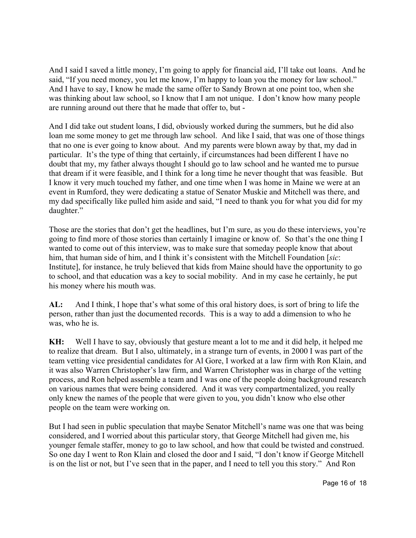And I said I saved a little money, I'm going to apply for financial aid, I'll take out loans. And he said, "If you need money, you let me know, I'm happy to loan you the money for law school." And I have to say, I know he made the same offer to Sandy Brown at one point too, when she was thinking about law school, so I know that I am not unique. I don't know how many people are running around out there that he made that offer to, but -

And I did take out student loans, I did, obviously worked during the summers, but he did also loan me some money to get me through law school. And like I said, that was one of those things that no one is ever going to know about. And my parents were blown away by that, my dad in particular. It's the type of thing that certainly, if circumstances had been different I have no doubt that my, my father always thought I should go to law school and he wanted me to pursue that dream if it were feasible, and I think for a long time he never thought that was feasible. But I know it very much touched my father, and one time when I was home in Maine we were at an event in Rumford, they were dedicating a statue of Senator Muskie and Mitchell was there, and my dad specifically like pulled him aside and said, "I need to thank you for what you did for my daughter."

Those are the stories that don't get the headlines, but I'm sure, as you do these interviews, you're going to find more of those stories than certainly I imagine or know of. So that's the one thing I wanted to come out of this interview, was to make sure that someday people know that about him, that human side of him, and I think it's consistent with the Mitchell Foundation [*sic*: Institute], for instance, he truly believed that kids from Maine should have the opportunity to go to school, and that education was a key to social mobility. And in my case he certainly, he put his money where his mouth was.

**AL:** And I think, I hope that's what some of this oral history does, is sort of bring to life the person, rather than just the documented records. This is a way to add a dimension to who he was, who he is.

**KH:** Well I have to say, obviously that gesture meant a lot to me and it did help, it helped me to realize that dream. But I also, ultimately, in a strange turn of events, in 2000 I was part of the team vetting vice presidential candidates for Al Gore, I worked at a law firm with Ron Klain, and it was also Warren Christopher's law firm, and Warren Christopher was in charge of the vetting process, and Ron helped assemble a team and I was one of the people doing background research on various names that were being considered. And it was very compartmentalized, you really only knew the names of the people that were given to you, you didn't know who else other people on the team were working on.

But I had seen in public speculation that maybe Senator Mitchell's name was one that was being considered, and I worried about this particular story, that George Mitchell had given me, his younger female staffer, money to go to law school, and how that could be twisted and construed. So one day I went to Ron Klain and closed the door and I said, "I don't know if George Mitchell is on the list or not, but I've seen that in the paper, and I need to tell you this story." And Ron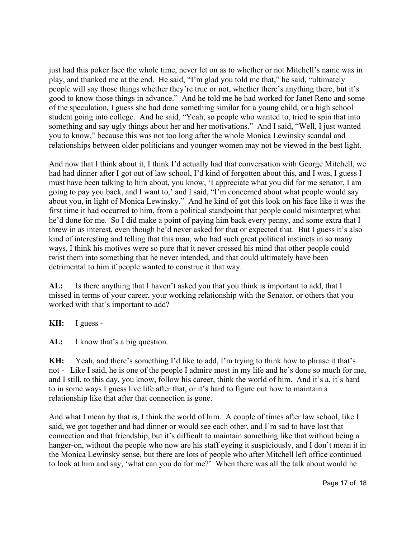just had this poker face the whole time, never let on as to whether or not Mitchell's name was in play, and thanked me at the end. He said, "I'm glad you told me that," he said, "ultimately people will say those things whether they're true or not, whether there's anything there, but it's good to know those things in advance." And he told me he had worked for Janet Reno and some of the speculation, I guess she had done something similar for a young child, or a high school student going into college. And he said, "Yeah, so people who wanted to, tried to spin that into something and say ugly things about her and her motivations." And I said, "Well, I just wanted you to know," because this was not too long after the whole Monica Lewinsky scandal and relationships between older politicians and younger women may not be viewed in the best light.

And now that I think about it, I think I'd actually had that conversation with George Mitchell, we had had dinner after I got out of law school, I'd kind of forgotten about this, and I was, I guess I must have been talking to him about, you know, 'I appreciate what you did for me senator, I am going to pay you back, and I want to,' and I said, "I'm concerned about what people would say about you, in light of Monica Lewinsky." And he kind of got this look on his face like it was the first time it had occurred to him, from a political standpoint that people could misinterpret what he'd done for me. So I did make a point of paying him back every penny, and some extra that I threw in as interest, even though he'd never asked for that or expected that. But I guess it's also kind of interesting and telling that this man, who had such great political instincts in so many ways, I think his motives were so pure that it never crossed his mind that other people could twist them into something that he never intended, and that could ultimately have been detrimental to him if people wanted to construe it that way.

**AL:** Is there anything that I haven't asked you that you think is important to add, that I missed in terms of your career, your working relationship with the Senator, or others that you worked with that's important to add?

**KH:** I guess -

AL: I know that's a big question.

**KH:** Yeah, and there's something I'd like to add, I'm trying to think how to phrase it that's not - Like I said, he is one of the people I admire most in my life and he's done so much for me, and I still, to this day, you know, follow his career, think the world of him. And it's a, it's hard to in some ways I guess live life after that, or it's hard to figure out how to maintain a relationship like that after that connection is gone.

And what I mean by that is, I think the world of him. A couple of times after law school, like I said, we got together and had dinner or would see each other, and I'm sad to have lost that connection and that friendship, but it's difficult to maintain something like that without being a hanger-on, without the people who now are his staff eyeing it suspiciously, and I don't mean it in the Monica Lewinsky sense, but there are lots of people who after Mitchell left office continued to look at him and say, 'what can you do for me?' When there was all the talk about would he